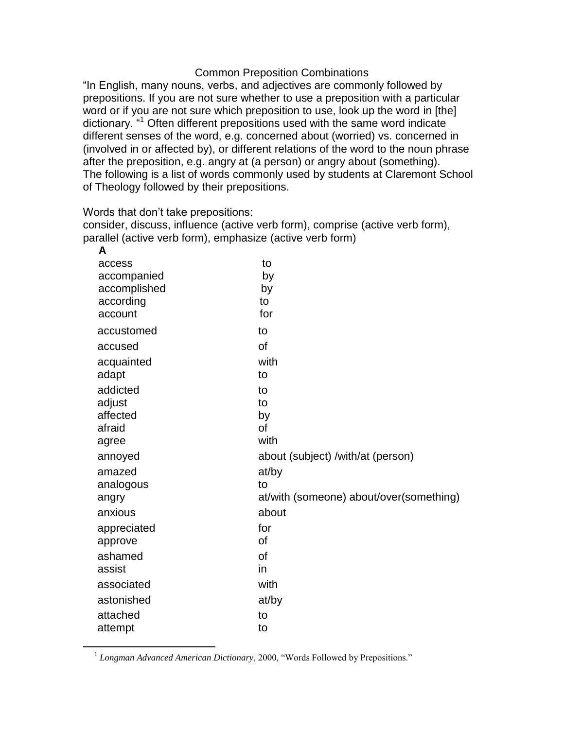## Common Preposition Combinations

"In English, many nouns, verbs, and adjectives are commonly followed by prepositions. If you are not sure whether to use a preposition with a particular word or if you are not sure which preposition to use, look up the word in [the] dictionary. "<sup>1</sup> Often different prepositions used with the same word indicate different senses of the word, e.g. concerned about (worried) vs. concerned in (involved in or affected by), or different relations of the word to the noun phrase after the preposition, e.g. angry at (a person) or angry about (something). The following is a list of words commonly used by students at Claremont School of Theology followed by their prepositions.

Words that don't take prepositions:

 $\overline{a}$ 

consider, discuss, influence (active verb form), comprise (active verb form), parallel (active verb form), emphasize (active verb form)

| A            |                                         |
|--------------|-----------------------------------------|
| access       | to                                      |
| accompanied  | by                                      |
| accomplished | by                                      |
| according    | to                                      |
| account      | for                                     |
| accustomed   | to                                      |
| accused      | of                                      |
| acquainted   | with                                    |
| adapt        | to                                      |
| addicted     | to                                      |
| adjust       | to                                      |
| affected     | by                                      |
| afraid       | <b>of</b>                               |
| agree        | with                                    |
| annoyed      | about (subject) /with/at (person)       |
| amazed       | at/by                                   |
| analogous    | to                                      |
| angry        | at/with (someone) about/over(something) |
| anxious      | about                                   |
| appreciated  | for                                     |
| approve      | <b>of</b>                               |
| ashamed      | <b>of</b>                               |
| assist       | in                                      |
| associated   | with                                    |
| astonished   | at/by                                   |
| attached     | to                                      |
| attempt      | to                                      |
|              |                                         |

<sup>&</sup>lt;sup>1</sup> Longman Advanced American Dictionary, 2000, "Words Followed by Prepositions."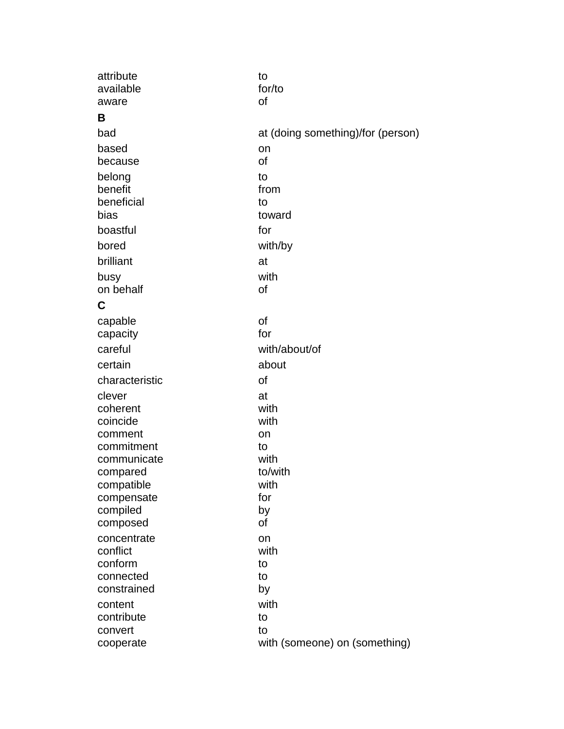| attribute              | to                                |
|------------------------|-----------------------------------|
| available              | for/to                            |
| aware                  | of                                |
| B                      |                                   |
| bad                    | at (doing something)/for (person) |
| based                  | on                                |
| because                | of                                |
| belong                 | to                                |
| benefit                | from                              |
| beneficial             | to                                |
| bias                   | toward                            |
| boastful               | for                               |
| bored                  | with/by                           |
| brilliant              | at                                |
| busy                   | with                              |
| on behalf              | of                                |
| C                      |                                   |
| capable                | of                                |
| capacity               | for                               |
| careful                | with/about/of                     |
| certain                | about                             |
| characteristic         | of                                |
| clever                 | at                                |
| coherent               | with                              |
| coincide               | with                              |
| comment                | on                                |
| commitment             | to                                |
| communicate            | with                              |
| compared<br>compatible | to/with<br>with                   |
| compensate             | for                               |
| compiled               | by                                |
| composed               | of                                |
| concentrate            | on                                |
| conflict               | with                              |
| conform                | to                                |
| connected              | to                                |
| constrained            | by                                |
| content                | with                              |
| contribute             | to                                |
| convert                | to                                |
| cooperate              | with (someone) on (something)     |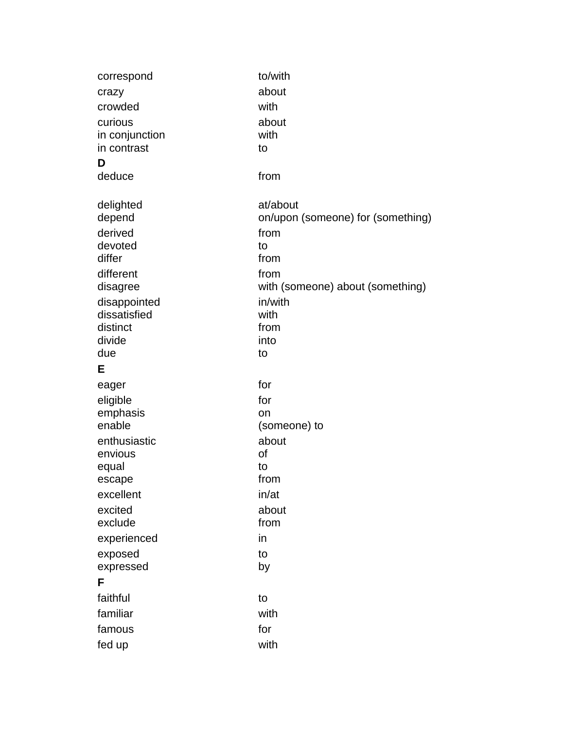| correspond          | to/with                           |
|---------------------|-----------------------------------|
| crazy               | about                             |
| crowded             | with                              |
| curious             | about                             |
| in conjunction      | with                              |
| in contrast         | to                                |
| D                   |                                   |
| deduce              | from                              |
|                     | at/about                          |
| delighted<br>depend | on/upon (someone) for (something) |
| derived             | from                              |
| devoted             | to                                |
| differ              | from                              |
| different           | from                              |
| disagree            | with (someone) about (something)  |
| disappointed        | in/with                           |
| dissatisfied        | with                              |
| distinct            | from                              |
| divide              | into                              |
| due                 | to                                |
| Е                   |                                   |
| eager               | for                               |
| eligible            | for                               |
| emphasis            | on                                |
| enable              | (someone) to                      |
| enthusiastic        | about                             |
| envious             | of                                |
| equal               | to                                |
| escape              | from                              |
| excellent           | in/at                             |
| excited             | about                             |
| exclude             | from                              |
| experienced         | in                                |
| exposed             | to                                |
| expressed           | by                                |
| F                   |                                   |
| faithful            | to                                |
| familiar            | with                              |
| famous              | for                               |
| fed up              | with                              |
|                     |                                   |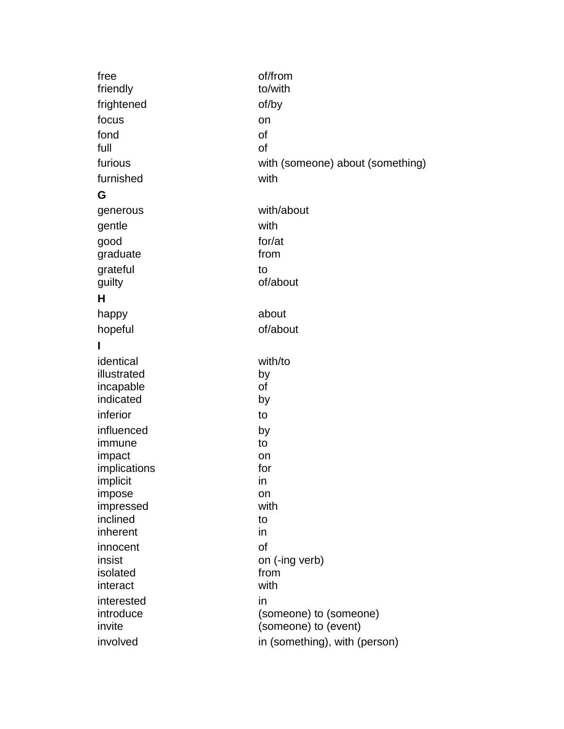| free                     | of/from<br>to/with                             |
|--------------------------|------------------------------------------------|
| friendly                 |                                                |
| frightened               | of/by                                          |
| focus                    | on                                             |
| fond                     | of                                             |
| full                     | of                                             |
| furious                  | with (someone) about (something)               |
| furnished                | with                                           |
| G                        |                                                |
| generous                 | with/about                                     |
| gentle                   | with                                           |
| good                     | for/at                                         |
| graduate                 | from                                           |
| grateful                 | to                                             |
| guilty                   | of/about                                       |
| н                        |                                                |
| happy                    | about                                          |
| hopeful                  | of/about                                       |
| L                        |                                                |
| identical                | with/to                                        |
| illustrated              | by                                             |
| incapable                | οf                                             |
| indicated                | by                                             |
| inferior                 | to                                             |
| influenced               | by                                             |
| immune                   | to                                             |
| impact                   | on                                             |
| implications<br>implicit | for<br>in                                      |
| impose                   | on                                             |
| impressed                | with                                           |
| inclined                 | to                                             |
| inherent                 | in                                             |
| innocent                 | of                                             |
| insist                   | on (-ing verb)                                 |
| isolated                 | from                                           |
| interact                 | with                                           |
| interested               | in                                             |
| introduce<br>invite      | (someone) to (someone)<br>(someone) to (event) |
| involved                 |                                                |
|                          | in (something), with (person)                  |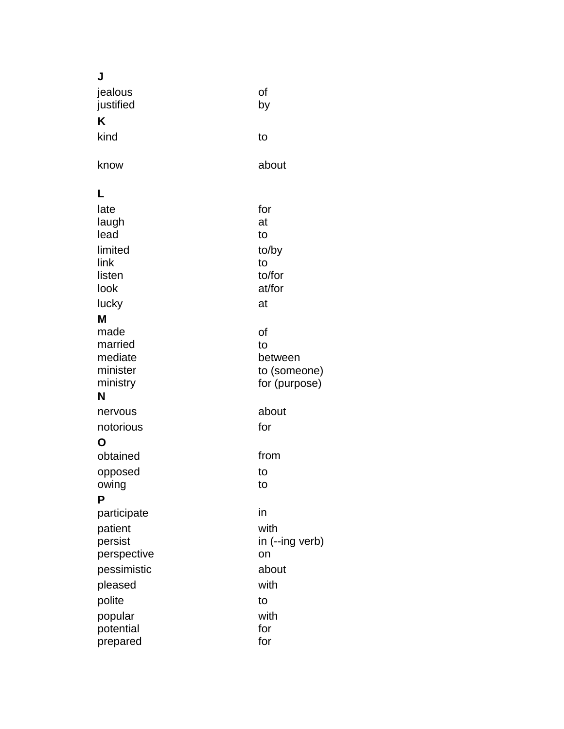| J              |                 |
|----------------|-----------------|
| jealous        | of              |
| justified      | by              |
| K              |                 |
| kind           | to              |
| know           | about           |
| L              |                 |
| late           | for             |
| laugh          | at              |
| lead           | to              |
| limited        | to/by           |
| link           | to<br>to/for    |
| listen<br>look | at/for          |
| lucky          | at              |
| M              |                 |
| made           | of              |
| married        | to              |
| mediate        | between         |
| minister       | to (someone)    |
| ministry       | for (purpose)   |
| N              |                 |
| nervous        | about           |
| notorious      | for             |
| Ο              |                 |
| obtained       | from            |
| opposed        | to              |
| owing<br>P     | to              |
| participate    | in              |
| patient        | with            |
| persist        | in (--ing verb) |
| perspective    | on              |
| pessimistic    | about           |
| pleased        | with            |
| polite         | to              |
| popular        | with            |
| potential      | for             |
| prepared       | for             |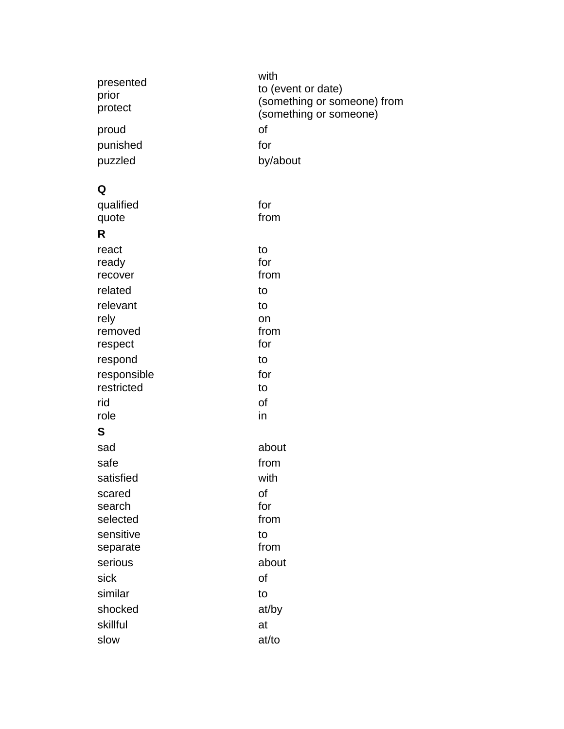| presented<br>prior<br>protect<br>proud<br>punished<br>puzzled | with<br>to (event or date)<br>(something or someone) from<br>(something or someone)<br>of<br>for<br>by/about |
|---------------------------------------------------------------|--------------------------------------------------------------------------------------------------------------|
| Q                                                             |                                                                                                              |
| qualified                                                     | for                                                                                                          |
| quote                                                         | from                                                                                                         |
| R                                                             |                                                                                                              |
| react<br>ready                                                | to<br>for                                                                                                    |
| recover                                                       | from                                                                                                         |
| related                                                       | to                                                                                                           |
| relevant                                                      | to                                                                                                           |
| rely                                                          | on                                                                                                           |
| removed                                                       | from<br>for                                                                                                  |
| respect<br>respond                                            | to                                                                                                           |
| responsible                                                   | for                                                                                                          |
| restricted                                                    | to                                                                                                           |
| rid                                                           | of                                                                                                           |
| role                                                          | in                                                                                                           |
| S                                                             |                                                                                                              |
| sad                                                           | about                                                                                                        |
| safe                                                          | from                                                                                                         |
| satisfied                                                     | with                                                                                                         |
| scared<br>search                                              | of<br>for                                                                                                    |
| selected                                                      | from                                                                                                         |
| sensitive                                                     | to                                                                                                           |
| separate                                                      | from                                                                                                         |
| serious                                                       | about                                                                                                        |
| sick                                                          | of                                                                                                           |
| similar                                                       | to                                                                                                           |
| shocked                                                       | at/by                                                                                                        |
| skillful                                                      | at                                                                                                           |
| slow                                                          | at/to                                                                                                        |